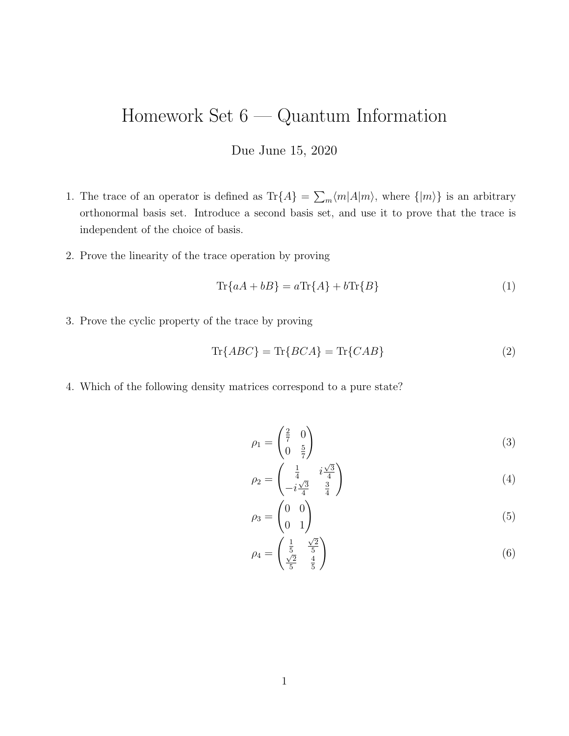## Homework Set 6 — Quantum Information

## Due June 15, 2020

- 1. The trace of an operator is defined as  $\text{Tr}\{A\} = \sum_m \langle m|A|m\rangle$ , where  $\{|m\rangle\}$  is an arbitrary orthonormal basis set. Introduce a second basis set, and use it to prove that the trace is independent of the choice of basis.
- 2. Prove the linearity of the trace operation by proving

$$
\operatorname{Tr}\{aA + bB\} = a\operatorname{Tr}\{A\} + b\operatorname{Tr}\{B\} \tag{1}
$$

3. Prove the cyclic property of the trace by proving

$$
\text{Tr}\{ABC\} = \text{Tr}\{BCA\} = \text{Tr}\{CAB\} \tag{2}
$$

4. Which of the following density matrices correspond to a pure state?

$$
\rho_1 = \begin{pmatrix} \frac{2}{7} & 0\\ 0 & \frac{5}{7} \end{pmatrix} \tag{3}
$$

$$
\rho_2 = \begin{pmatrix} \frac{1}{4} & i\frac{\sqrt{3}}{4} \\ -i\frac{\sqrt{3}}{4} & \frac{3}{4} \end{pmatrix} \tag{4}
$$

$$
\rho_3 = \begin{pmatrix} 0 & 0 \\ 0 & 1 \end{pmatrix} \tag{5}
$$

$$
\rho_4 = \begin{pmatrix} \frac{1}{5} & \frac{\sqrt{2}}{5} \\ \frac{\sqrt{2}}{5} & \frac{4}{5} \end{pmatrix} \tag{6}
$$